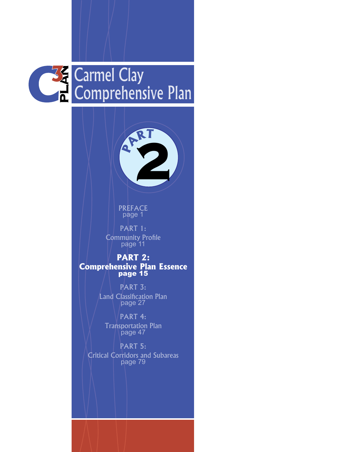



PREFACE page 1

PART 1: Community Profile page 11

**PART 2: Comprehensive Plan Essence** page 15

> PART 3: Land Classification Plan page 27

PART 4: Transportation Plan page 47

PART 5: Critical Corridors and Subareas page 79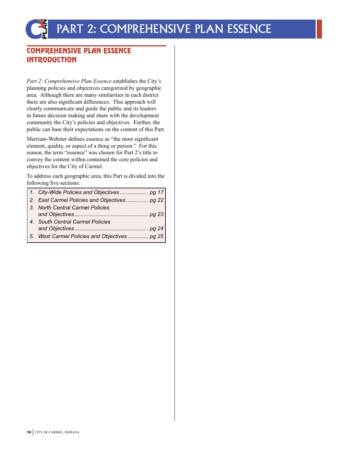### COMPREHENSIVE PLAN ESSENCE INTRODUCTION

*Part 2: Comprehensive Plan Essence* establishes the City's planning policies and objectives categorized by geographic area. Although there are many similarities in each district there are also significant differences. This approach will clearly communicate and guide the public and its leaders in future decision making and share with the development community the City's policies and objectives. Further, the public can base their expectations on the content of this Part.

Merriam-Webster defines essence as "the most significant element, quality, or aspect of a thing or person." For this reason, the term "essence" was chosen for Part 2's title to convey the content within contained the core policies and objectives for the City of Carmel.

To address each geographic area, this Part is divided into the following five sections:

| 2. East Carmel Policies and Objectives pg 22 |
|----------------------------------------------|
| 3. North Central Carmel Policies             |
| 4. South Central Carmel Policies             |
|                                              |
| 5. West Carmel Policies and Objectives pg 25 |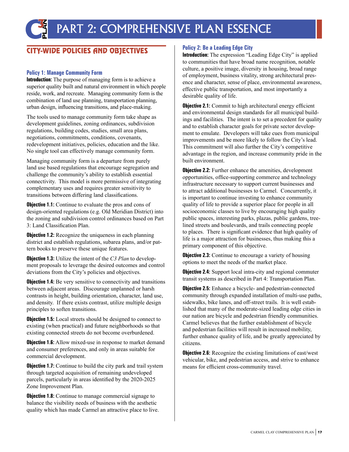### CITY-WIDE POLICIES AND OBJECTIVES

#### **Policy 1: Manage Community Form**

**Introduction:** The purpose of managing form is to achieve a superior quality built and natural environment in which people reside, work, and recreate. Managing community form is the combination of land use planning, transportation planning, urban design, influencing transitions, and place-making.

The tools used to manage community form take shape as development guidelines, zoning ordinances, subdivision regulations, building codes, studies, small area plans, negotiations, commitments, conditions, covenants, redevelopment initiatives, policies, education and the like. No single tool can effectively manage community form.

Managing community form is a departure from purely land use based regulations that encourage segregation and challenge the community's ability to establish essential connectivity. This model is more permissive of integrating complementary uses and requires greater sensitivity to transitions between differing land classifications.

**Objective 1.1:** Continue to evaluate the pros and cons of design-oriented regulations (e.g. Old Meridian District) into the zoning and subdivision control ordinances based on Part 3: Land Classification Plan.

**Objective 1.2:** Recognize the uniqueness in each planning district and establish regulations, subarea plans, and/or pattern books to preserve these unique features.

**Objective 1.3:** Utilize the intent of the *C3 Plan* to development proposals to leverage the desired outcomes and control deviations from the City's policies and objectives.

**Objective 1.4:** Be very sensitive to connectivity and transitions between adjacent areas. Discourage unplanned or harsh contrasts in height, building orientation, character, land use, and density. If there exists contrast, utilize multiple design principles to soften transitions.

**Objective 1.5:** Local streets should be designed to connect to existing (when practical) and future neighborhoods so that existing connected streets do not become overburdened.

**Objective 1.6:** Allow mixed-use in response to market demand and consumer preferences, and only in areas suitable for commercial development.

**Objective 1.7:** Continue to build the city park and trail system through targeted acquisition of remaining undeveloped parcels, particularly in areas identified by the 2020-2025 Zone Improvement Plan.

**Objective 1.8:** Continue to manage commercial signage to balance the visibility needs of business with the aesthetic quality which has made Carmel an attractive place to live.

#### **Policy 2: Be a Leading Edge City**

**Introduction:** The expression "Leading Edge City" is applied to communities that have broad name recognition, notable culture, a positive image, diversity in housing, broad range of employment, business vitality, strong architectural presence and character, sense of place, environmental awareness, effective public transportation, and most importantly a desirable quality of life.

**Objective 2.1:** Commit to high architectural energy efficient and environmental design standards for all municipal buildings and facilities. The intent is to set a precedent for quality and to establish character goals for private sector development to emulate. Developers will take cues from municipal improvements and be more likely to follow the City's lead. This commitment will also further the City's competitive advantage in the region, and increase community pride in the built environment.

**Objective 2.2:** Further enhance the amenities, development opportunities, office-supporting commerce and technology infrastructure necessary to support current businesses and to attract additional businesses to Carmel. Concurrently, it is important to continue investing to enhance community quality of life to provide a superior place for people in all socioeconomic classes to live by encouraging high quality public spaces, interesting parks, plazas, public gardens, treelined streets and boulevards, and trails connecting people to places. There is significant evidence that high quality of life is a major attraction for businesses, thus making this a primary component of this objective.

**Objective 2.3:** Continue to encourage a variety of housing options to meet the needs of the market place.

**Objective 2.4:** Support local intra-city and regional commuter transit systems as described in Part 4: Transportation Plan.

**Objective 2.5:** Enhance a bicycle- and pedestrian-connected community through expanded installation of multi-use paths, sidewalks, bike lanes, and off-street trails. It is well established that many of the moderate-sized leading edge cities in our nation are bicycle and pedestrian friendly communities. Carmel believes that the further establishment of bicycle and pedestrian facilities will result in increased mobility, further enhance quality of life, and be greatly appreciated by citizens.

**Objective 2.6:** Recognize the existing limitations of east/west vehicular, bike, and pedestrian access, and strive to enhance means for efficient cross-community travel.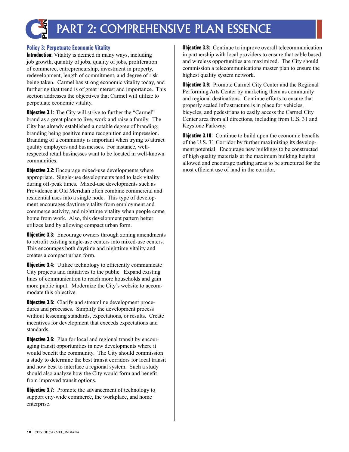

#### **Policy 3: Perpetuate Economic Vitality**

**Introduction:** Vitality is defined in many ways, including job growth, quantity of jobs, quality of jobs, proliferation of commerce, entrepreneurship, investment in property, redevelopment, length of commitment, and degree of risk being taken. Carmel has strong economic vitality today, and furthering that trend is of great interest and importance. This section addresses the objectives that Carmel will utilize to perpetuate economic vitality.

**Objective 3.1:** The City will strive to further the "Carmel" brand as a great place to live, work and raise a family. The City has already established a notable degree of branding; branding being positive name recognition and impression. Branding of a community is important when trying to attract quality employers and businesses. For instance, wellrespected retail businesses want to be located in well-known communities.

**Objective 3.2:** Encourage mixed-use developments where appropriate. Single-use developments tend to lack vitality during off-peak times. Mixed-use developments such as Providence at Old Meridian often combine commercial and residential uses into a single node. This type of development encourages daytime vitality from employment and commerce activity, and nighttime vitality when people come home from work. Also, this development pattern better utilizes land by allowing compact urban form.

**Objective 3.3:** Encourage owners through zoning amendments to retrofit existing single-use centers into mixed-use centers. This encourages both daytime and nighttime vitality and creates a compact urban form.

**Objective 3.4:** Utilize technology to efficiently communicate City projects and initiatives to the public. Expand existing lines of communication to reach more households and gain more public input. Modernize the City's website to accommodate this objective.

**Objective 3.5:** Clarify and streamline development procedures and processes. Simplify the development process without lessening standards, expectations, or results. Create incentives for development that exceeds expectations and standards.

**Objective 3.6:** Plan for local and regional transit by encouraging transit opportunities in new developments where it would benefit the community. The City should commission a study to determine the best transit corridors for local transit and how best to interface a regional system. Such a study should also analyze how the City would form and benefit from improved transit options.

**Objective 3.7:** Promote the advancement of technology to support city-wide commerce, the workplace, and home enterprise.

**Objective 3.8:** Continue to improve overall telecommunication in partnership with local providers to ensure that cable based and wireless opportunities are maximized. The City should commission a telecommunications master plan to ensure the highest quality system network.

**Objective 3.9:** Promote Carmel City Center and the Regional Performing Arts Center by marketing them as community and regional destinations. Continue efforts to ensure that properly scaled infrastructure is in place for vehicles, bicycles, and pedestrians to easily access the Carmel City Center area from all directions, including from U.S. 31 and Keystone Parkway.

**Objective 3.10:** Continue to build upon the economic benefits of the U.S. 31 Corridor by further maximizing its development potential. Encourage new buildings to be constructed of high quality materials at the maximum building heights allowed and encourage parking areas to be structured for the most efficient use of land in the corridor.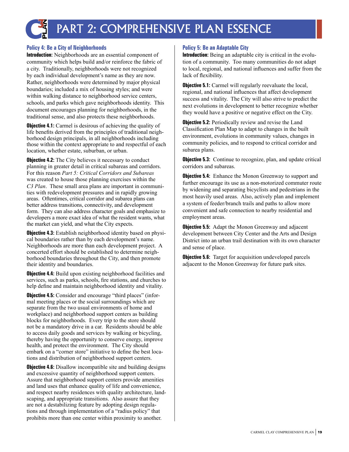

#### **Policy 4: Be a City of Neighborhoods**

**Introduction:** Neighborhoods are an essential component of community which helps build and/or reinforce the fabric of a city. Traditionally, neighborhoods were not recognized by each individual development's name as they are now. Rather, neighborhoods were determined by major physical boundaries; included a mix of housing styles; and were within walking distance to neighborhood service centers, schools, and parks which gave neighborhoods identity. This document encourages planning for neighborhoods, in the traditional sense, and also protects these neighborhoods.

**Objective 4.1:** Carmel is desirous of achieving the quality of life benefits derived from the principles of traditional neighborhood design principals, in all neighborhoods including those within the context appropriate to and respectful of each location, whether estate, suburban, or urban.

**Objective 4.2:** The City believes it necessary to conduct planning in greater detail in critical subareas and corridors. For this reason *Part 5: Critical Corridors and Subareas* was created to house those planning exercises within the *C3 Plan*. These small area plans are important in communities with redevelopment pressures and in rapidly growing areas. Oftentimes, critical corridor and subarea plans can better address transitions, connectivity, and development form. They can also address character goals and emphasize to developers a more exact idea of what the resident wants, what the market can yield, and what the City expects.

**Objective 4.3:** Establish neighborhood identity based on physical boundaries rather than by each development's name. Neighborhoods are more than each development project. A concerted effort should be established to determine neighborhood boundaries throughout the City, and then promote their identity and boundaries.

**Objective 4.4:** Build upon existing neighborhood facilities and services, such as parks, schools, fire stations, and churches to help define and maintain neighborhood identity and vitality.

**Objective 4.5:** Consider and encourage "third places" (informal meeting places or the social surroundings which are separate from the two usual environments of home and workplace) and neighborhood support centers as building blocks for neighborhoods. Every trip to the store should not be a mandatory drive in a car. Residents should be able to access daily goods and services by walking or bicycling, thereby having the opportunity to conserve energy, improve health, and protect the environment. The City should embark on a "corner store" initiative to define the best locations and distribution of neighborhood support centers.

**Objective 4.6:** Disallow incompatible site and building designs and excessive quantity of neighborhood support centers. Assure that neighborhood support centers provide amenities and land uses that enhance quality of life and convenience, and respect nearby residences with quality architecture, landscaping, and appropriate transitions. Also assure that they are not a destabilizing feature by adopting design regulations and through implementation of a "radius policy" that prohibits more than one center within proximity to another.

#### **Policy 5: Be an Adaptable City**

**Introduction:** Being an adaptable city is critical in the evolution of a community. Too many communities do not adapt to local, regional, and national influences and suffer from the lack of flexibility.

**Objective 5.1:** Carmel will regularly reevaluate the local, regional, and national influences that affect development success and vitality. The City will also strive to predict the next evolutions in development to better recognize whether they would have a positive or negative effect on the City.

**Objective 5.2:** Periodically review and revise the Land Classification Plan Map to adapt to changes in the built environment, evolutions in community values, changes in community policies, and to respond to critical corridor and subarea plans.

**Objective 5.3:** Continue to recognize, plan, and update critical corridors and subareas.

**Objective 5.4:** Enhance the Monon Greenway to support and further encourage its use as a non-motorized commuter route by widening and separating bicyclists and pedestrians in the most heavily used areas. Also, actively plan and implement a system of feeder/branch trails and paths to allow more convenient and safe connection to nearby residential and employment areas.

**Objective 5.5:** Adapt the Monon Greenway and adjacent development between City Center and the Arts and Design District into an urban trail destination with its own character and sense of place.

**Objective 5.6:** Target for acquisition undeveloped parcels adjacent to the Monon Greenway for future park sites.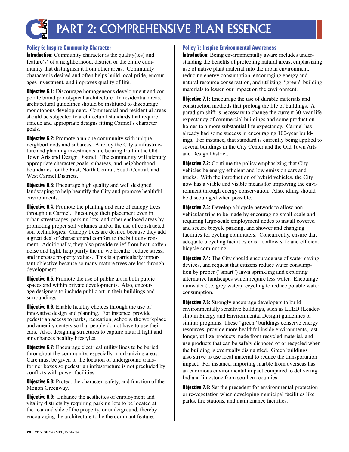

#### **Policy 6: Inspire Community Character**

**Introduction:** Community character is the quality(ies) and feature(s) of a neighborhood, district, or the entire community that distinguish it from other areas. Community character is desired and often helps build local pride, encourages investment, and improves quality of life.

**Objective 6.1:** Discourage homogeneous development and corporate brand prototypical architecture. In residential areas, architectural guidelines should be instituted to discourage monotonous development. Commercial and residential areas should be subjected to architectural standards that require unique and appropriate designs fitting Carmel's character goals.

**Objective 6.2:** Promote a unique community with unique neighborhoods and subareas. Already the City's infrastructure and planning investments are bearing fruit in the Old Town Arts and Design District. The community will identify appropriate character goals, subareas, and neighborhood boundaries for the East, North Central, South Central, and West Carmel Districts.

**Objective 6.3:** Encourage high quality and well designed landscaping to help beautify the City and promote healthful environments.

**Objective 6.4:** Promote the planting and care of canopy trees throughout Carmel. Encourage their placement even in urban streetscapes, parking lots, and other enclosed areas by promoting proper soil volumes and/or the use of constructed soil technologies. Canopy trees are desired because they add a great deal of character and comfort to the built environment. Additionally, they also provide relief from heat, soften noise and light, help purify the air we breathe, reduce stress, and increase property values. This is a particularly important objective because so many mature trees are lost through development.

**Objective 6.5:** Promote the use of public art in both public spaces and within private developments. Also, encourage designers to include public art in their buildings and surroundings.

**Objective 6.6:** Enable healthy choices through the use of innovative design and planning. For instance, provide pedestrian access to parks, recreation, schools, the workplace and amenity centers so that people do not have to use their cars. Also, designing structures to capture natural light and air enhances healthy lifestyles.

**Objective 6.7:** Encourage electrical utility lines to be buried throughout the community, especially in urbanizing areas. Care must be given to the location of underground transformer boxes so pedestrian infrastructure is not precluded by conflicts with power facilities.

**Objective 6.8:** Protect the character, safety, and function of the Monon Greenway.

**Objective 6.9:** Enhance the aesthetics of employment and vitality districts by requiring parking lots to be located at the rear and side of the property, or underground, thereby encouraging the architecture to be the dominant feature.

#### **Policy 7: Inspire Environmental Awareness**

**Introduction:** Being environmentally aware includes understanding the benefits of protecting natural areas, emphasizing use of native plant material into the urban environment, reducing energy consumption, encouraging energy and natural resource conservation, and utilizing "green" building materials to lessen our impact on the environment.

**Objective 7.1:** Encourage the use of durable materials and construction methods that prolong the life of buildings. A paradigm shift is necessary to change the current 30-year life expectancy of commercial buildings and some production homes to a more substantial life expectancy. Carmel has already had some success in encouraging 100-year buildings. For instance, that standard is currently being applied to several buildings in the City Center and the Old Town Arts and Design District.

**Objective 7.2:** Continue the policy emphasizing that City vehicles be energy efficient and low emission cars and trucks. With the introduction of hybrid vehicles, the City now has a viable and visible means for improving the environment through energy conservation. Also, idling should be discouraged when possible.

**Objective 7.3:** Develop a bicycle network to allow nonvehicular trips to be made by encouraging small-scale and requiring large-scale employment nodes to install covered and secure bicycle parking, and shower and changing facilities for cycling commuters. Concurrently, ensure that adequate bicycling facilities exist to allow safe and efficient bicycle commuting.

**Objective 7.4:** The City should encourage use of water-saving devices, and request that citizens reduce water consumption by proper ("smart") lawn sprinkling and exploring alternative landscapes which require less water. Encourage rainwater (i.e. grey water) recycling to reduce potable water consumption.

**Objective 7.5:** Strongly encourage developers to build environmentally sensitive buildings, such as LEED (Leadership in Energy and Environmental Design) guidelines or similar programs. These "green" buildings conserve energy resources, provide more healthful inside environments, last longer, utilize products made from recycled material, and use products that can be safely disposed of or recycled when the building is eventually dismantled. Green buildings also strive to use local material to reduce the transportation impact. For instance, importing marble from overseas has an enormous environmental impact compared to delivering Indiana limestone from southern counties.

**Objective 7.6:** Set the precedent for environmental protection or re-vegetation when developing municipal facilities like parks, fire stations, and maintenance facilities.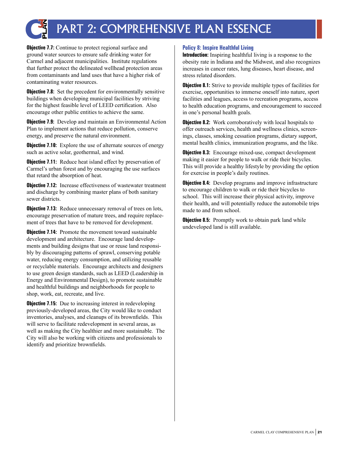

**Objective 7.7:** Continue to protect regional surface and ground water sources to ensure safe drinking water for Carmel and adjacent municipalities. Institute regulations that further protect the delineated wellhead protection areas from contaminants and land uses that have a higher risk of contaminating water resources.

**Objective 7.8:** Set the precedent for environmentally sensitive buildings when developing municipal facilities by striving for the highest feasible level of LEED certification. Also encourage other public entities to achieve the same.

**Objective 7.9:** Develop and maintain an Environmental Action Plan to implement actions that reduce pollution, conserve energy, and preserve the natural environment.

**Objective 7.10:** Explore the use of alternate sources of energy such as active solar, geothermal, and wind.

**Objective 7.11:** Reduce heat island effect by preservation of Carmel's urban forest and by encouraging the use surfaces that retard the absorption of heat.

**Objective 7.12:** Increase effectiveness of wastewater treatment and discharge by combining master plans of both sanitary sewer districts.

**Objective 7.13:** Reduce unnecessary removal of trees on lots, encourage preservation of mature trees, and require replacement of trees that have to be removed for development.

**Objective 7.14:** Promote the movement toward sustainable development and architecture. Encourage land developments and building designs that use or reuse land responsibly by discouraging patterns of sprawl, conserving potable water, reducing energy consumption, and utilizing reusable or recyclable materials. Encourage architects and designers to use green design standards, such as LEED (Leadership in Energy and Environmental Design), to promote sustainable and healthful buildings and neighborhoods for people to shop, work, eat, recreate, and live.

**Objective 7.15:** Due to increasing interest in redeveloping previously-developed areas, the City would like to conduct inventories, analyses, and cleanups of its brownfields. This will serve to facilitate redevelopment in several areas, as well as making the City healthier and more sustainable. The City will also be working with citizens and professionals to identify and prioritize brownfields.

#### **Policy 8: Inspire Healthful Living**

**Introduction:** Inspiring healthful living is a response to the obesity rate in Indiana and the Midwest, and also recognizes increases in cancer rates, lung diseases, heart disease, and stress related disorders.

**Objective 8.1:** Strive to provide multiple types of facilities for exercise, opportunities to immerse oneself into nature, sport facilities and leagues, access to recreation programs, access to health education programs, and encouragement to succeed in one's personal health goals.

**Objective 8.2:** Work corroboratively with local hospitals to offer outreach services, health and wellness clinics, screenings, classes, smoking cessation programs, dietary support, mental health clinics, immunization programs, and the like.

**Objective 8.3:** Encourage mixed-use, compact development making it easier for people to walk or ride their bicycles. This will provide a healthy lifestyle by providing the option for exercise in people's daily routines.

**Objective 8.4:** Develop programs and improve infrastructure to encourage children to walk or ride their bicycles to school. This will increase their physical activity, improve their health, and will potentially reduce the automobile trips made to and from school.

**Objective 8.5:** Promptly work to obtain park land while undeveloped land is still available.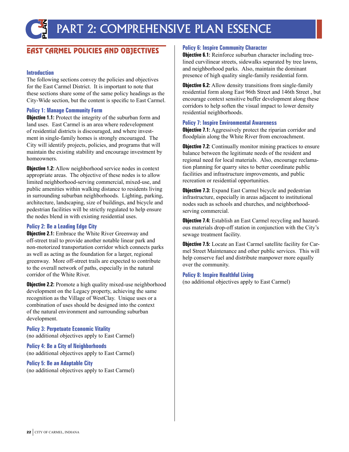### **EAST CARMEL POLICIES AND OBJECTIVES**

#### **Introduction**

The following sections convey the policies and objectives for the East Carmel District. It is important to note that these sections share some of the same policy headings as the City-Wide section, but the content is specific to East Carmel.

#### **Policy 1: Manage Community Form**

**Objective 1.1:** Protect the integrity of the suburban form and land uses. East Carmel is an area where redevelopment of residential districts is discouraged, and where investment in single-family homes is strongly encouraged. The City will identify projects, policies, and programs that will maintain the existing stability and encourage investment by homeowners.

**Objective 1.2:** Allow neighborhood service nodes in context appropriate areas. The objective of these nodes is to allow limited neighborhood-serving commercial, mixed-use, and public amenities within walking distance to residents living in surrounding suburban neighborhoods. Lighting, parking, architecture, landscaping, size of buildings, and bicycle and pedestrian facilities will be strictly regulated to help ensure the nodes blend in with existing residential uses.

#### **Policy 2: Be a Leading Edge City**

**Objective 2.1:** Embrace the White River Greenway and off-street trail to provide another notable linear park and non-motorized transportation corridor which connects parks as well as acting as the foundation for a larger, regional greenway. More off-street trails are expected to contribute to the overall network of paths, especially in the natural corridor of the White River.

**Objective 2.2:** Promote a high quality mixed-use neighborhood development on the Legacy property, achieving the same recognition as the Village of WestClay. Unique uses or a combination of uses should be designed into the context of the natural environment and surrounding suburban development.

**Policy 3: Perpetuate Economic Vitality** (no additional objectives apply to East Carmel)

**Policy 4: Be a City of Neighborhoods** (no additional objectives apply to East Carmel)

#### **Policy 5: Be an Adaptable City**

(no additional objectives apply to East Carmel)

#### **Policy 6: Inspire Community Character**

**Objective 6.1:** Reinforce suburban character including treelined curvilinear streets, sidewalks separated by tree lawns, and neighborhood parks. Also, maintain the dominant presence of high quality single-family residential form.

**Objective 6.2:** Allow density transitions from single-family residential form along East 96th Street and 146th Street , but encourage context sensitive buffer development along these corridors to help soften the visual impact to lower density residential neighborhoods.

#### **Policy 7: Inspire Environmental Awareness**

**Objective 7.1:** Aggressively protect the riparian corridor and floodplain along the White River from encroachment.

**Objective 7.2:** Continually monitor mining practices to ensure balance between the legitimate needs of the resident and regional need for local materials. Also, encourage reclamation planning for quarry sites to better coordinate public facilities and infrastructure improvements, and public recreation or residential opportunities.

**Objective 7.3:** Expand East Carmel bicycle and pedestrian infrastructure, especially in areas adjacent to institutional nodes such as schools and churches, and neighborhoodserving commercial.

**Objective 7.4:** Establish an East Carmel recycling and hazardous materials drop-off station in conjunction with the City's sewage treatment facility.

**Objective 7.5:** Locate an East Carmel satellite facility for Carmel Street Maintenance and other public services. This will help conserve fuel and distribute manpower more equally over the community.

#### **Policy 8: Inspire Healthful Living**

(no additional objectives apply to East Carmel)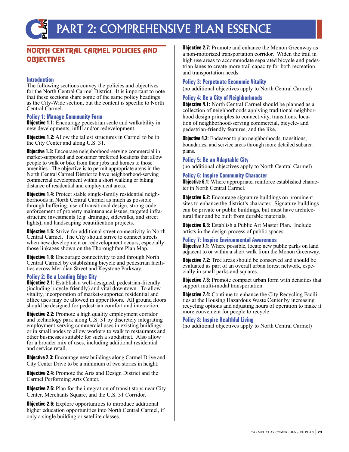### NORTH CENTRAL CARMEL POLICIES AND OBJECTIVES

#### **Introduction**

The following sections convey the policies and objectives for the North Central Carmel District. It is important to note that these sections share some of the same policy headings as the City-Wide section, but the content is specific to North Central Carmel.

#### **Policy 1: Manage Community Form**

**Objective 1.1:** Encourage pedestrian scale and walkability in new developments, infill and/or redevelopment.

**Objective 1.2:** Allow the tallest structures in Carmel to be in the City Center and along U.S. 31.

**Objective 1.3:** Encourage neighborhood-serving commercial in market-supported and consumer preferred locations that allow people to walk or bike from their jobs and homes to those amenities. The objective is to permit appropriate areas in the North Central Carmel District to have neighborhood-serving commercial development within a short walking or biking distance of residential and employment areas.

**Objective 1.4:** Protect stable single-family residential neighborhoods in North Central Carmel as much as possible through buffering, use of transitional design, strong code enforcement of property maintenance issues, targeted infrastructure investments (e.g. drainage, sidewalks, and street lights), and landscaping beautification projects.

**Objective 1.5:** Strive for additional street connectivity in North Central Carmel. The City should strive to connect streets when new development or redevelopment occurs, especially those linkages shown on the Thoroughfare Plan Map.

**Objective 1.6:** Encourage connectivity to and through North Central Carmel by establishing bicycle and pedestrian facili- ties across Meridian Street and Keystone Parkway.

#### **Policy 2: Be a Leading Edge City**

**Objective 2.1:** Establish a well-designed, pedestrian-friendly (including bicycle-friendly) and vital downtown. To allow vitality, incorporation of market-supported residential and office uses may be allowed in upper floors. All ground floors should be designed for pedestrian comfort and interaction.

**Objective 2.2:** Promote a high quality employment corridor and technology park along U.S. 31 by discretely integrating employment-serving commercial uses in existing buildings or in small nodes to allow workers to walk to restaurants and other businesses suitable for such a subdistrict. Also allow for a broader mix of uses, including additional residential and service retail.

**Objective 2.3:** Encourage new buildings along Carmel Drive and City Center Drive to be a minimum of two stories in height.

**Objective 2.4:** Promote the Arts and Design District and the Carmel Performing Arts Center.

**Objective 2.5:** Plan for the integration of transit stops near City Center, Merchants Square, and the U.S. 31 Corridor.

**Objective 2.6:** Explore opportunities to introduce additional higher education opportunities into North Central Carmel, if only a single building or satellite classes.

**Objective 2.7:** Promote and enhance the Monon Greenway as a non-motorized transportation corridor. Widen the trail in high use areas to accommodate separated bicycle and pedestrian lanes to create more trail capacity for both recreation and transportation needs.

#### **Policy 3: Perpetuate Economic Vitality**

(no additional objectives apply to North Central Carmel)

#### **Policy 4: Be a City of Neighborhoods**

**Objective 4.1:** North Central Carmel should be planned as a collection of neighborhoods applying traditional neighborhood design principles to connectivity, transitions, location of neighborhood-serving commercial, bicycle- and pedestrian-friendly features, and the like.

**Objective 4.2:** Endeavor to plan neighborhoods, transitions, boundaries, and service areas through more detailed subarea plans.

#### **Policy 5: Be an Adaptable City**

(no additional objectives apply to North Central Carmel)

#### **Policy 6: Inspire Community Character**

**Objective 6.1:** Where appropriate, reinforce established character in North Central Carmel.

**Objective 6.2:** Encourage signature buildings on prominent sites to enhance the district's character. Signature buildings can be private or public buildings, but must have architectural flair and be built from durable materials.

**Objective 6.3:** Establish a Public Art Master Plan. Include artists in the design process of public spaces.

#### **Policy 7: Inspire Environmental Awareness**

**Objective 7.1:** Where possible, locate new public parks on land adjacent to or within a short walk from the Monon Greenway.

**Objective 7.2:** Tree areas should be conserved and should be evaluated as part of an overall urban forest network, especially in small parks and squares.

**Objective 7.3:** Promote compact urban form with densities that support multi-modal transportation.

**Objective 7.4:** Continue to enhance the City Recycling Facilities at the Housing Hazardous Waste Center by increasing recycling options and adjusting hours of operation to make it more convenient for people to recycle.

#### **Policy 8: Inspire Healthful Living**

(no additional objectives apply to North Central Carmel)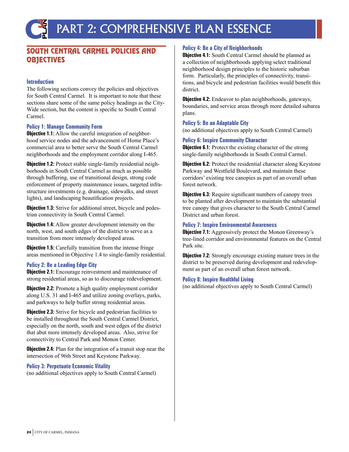### SOUTH CENTRAL CARMEL POLICIES AND **OBJECTIVES**

#### **Introduction**

The following sections convey the policies and objectives for South Central Carmel. It is important to note that these sections share some of the same policy headings as the City-Wide section, but the content is specific to South Central Carmel.

#### **Policy 1: Manage Community Form**

**Objective 1.1:** Allow the careful integration of neighborhood service nodes and the advancement of Home Place's commercial area to better serve the South Central Carmel neighborhoods and the employment corridor along I-465.

**Objective 1.2:** Protect stable single-family residential neighborhoods in South Central Carmel as much as possible through buffering, use of transitional design, strong code enforcement of property maintenance issues, targeted infrastructure investments (e.g. drainage, sidewalks, and street lights), and landscaping beautification projects.

**Objective 1.3:** Strive for additional street, bicycle and pedestrian connectivity in South Central Carmel.

**Objective 1.4:** Allow greater development intensity on the north, west, and south edges of the district to serve as a transition from more intensely developed areas.

**Objective 1.5:** Carefully transition from the intense fringe areas mentioned in Objective 1.4 to single-family residential.

#### **Policy 2: Be a Leading Edge City**

**Objective 2.1:** Encourage reinvestment and maintenance of strong residential areas, so as to discourage redevelopment.

**Objective 2.2:** Promote a high quality employment corridor along U.S. 31 and I-465 and utilize zoning overlays, parks, and parkways to help buffer strong residential areas.

**Objective 2.3:** Strive for bicycle and pedestrian facilities to be installed throughout the South Central Carmel District, especially on the north, south and west edges of the district that abut more intensely developed areas. Also, strive for connectivity to Central Park and Monon Center.

**Objective 2.4:** Plan for the integration of a transit stop near the intersection of 96th Street and Keystone Parkway.

#### **Policy 3: Perpetuate Economic Vitality**

(no additional objectives apply to South Central Carmel)

#### **Policy 4: Be a City of Neighborhoods**

**Objective 4.1:** South Central Carmel should be planned as a collection of neighborhoods applying select traditional neighborhood design principles to the historic suburban form. Particularly, the principles of connectivity, transitions, and bicycle and pedestrian facilities would benefit this district.

**Objective 4.2:** Endeavor to plan neighborhoods, gateways, boundaries, and service areas through more detailed subarea plans.

#### **Policy 5: Be an Adaptable City**

(no additional objectives apply to South Central Carmel)

#### **Policy 6: Inspire Community Character**

**Objective 6.1:** Protect the existing character of the strong single-family neighborhoods in South Central Carmel.

**Objective 6.2:** Protect the residential character along Keystone Parkway and Westfield Boulevard, and maintain these corridors' existing tree canopies as part of an overall urban forest network.

**Objective 6.3:** Require significant numbers of canopy trees to be planted after development to maintain the substantial tree canopy that gives character to the South Central Carmel District and urban forest.

#### **Policy 7: Inspire Environmental Awareness**

**Objective 7.1:** Aggressively protect the Monon Greenway's tree-lined corridor and environmental features on the Central Park site.

**Objective 7.2:** Strongly encourage existing mature trees in the district to be preserved during development and redevelopment as part of an overall urban forest network.

#### **Policy 8: Inspire Healthful Living**

(no additional objectives apply to South Central Carmel)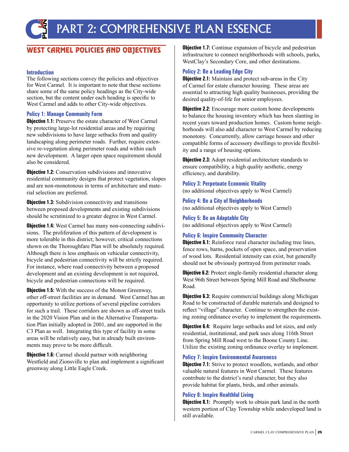### WEST CARMEL POLICIES AND OBJECTIVES

#### **Introduction**

The following sections convey the policies and objectives for West Carmel. It is important to note that these sections share some of the same policy headings as the City-wide section, but the content under each heading is specific to West Carmel and adds to other City-wide objectives.

#### **Policy 1: Manage Community Form**

**Objective 1.1:** Preserve the estate character of West Carmel by protecting large-lot residential areas and by requiring new subdivisions to have large setbacks from and quality landscaping along perimeter roads. Further, require extensive re-vegetation along perimeter roads and within each new development. A larger open space requirement should also be considered.

**Objective 1.2:** Conservation subdivisions and innovative residential community designs that protect vegetation, slopes and are non-monotonous in terms of architecture and material selection are preferred.

**Objective 1.3:** Subdivision connectivity and transitions between proposed developments and existing subdivisions should be scrutinized to a greater degree in West Carmel.

**Objective 1.4:** West Carmel has many non-connecting subdivisions. The proliferation of this pattern of development is more tolerable in this district; however, critical connections shown on the Thoroughfare Plan will be absolutely required. Although there is less emphasis on vehicular connectivity, bicycle and pedestrian connectivity will be strictly required. For instance, where road connectivity between a proposed development and an existing development is not required, bicycle and pedestrian connections will be required.

**Objective 1.5:** With the success of the Monon Greenway, other off-street facilities are in demand. West Carmel has an opportunity to utilize portions of several pipeline corridors for such a trail. These corridors are shown as off-street trails in the 2020 Vision Plan and in the Alternative Transportation Plan initially adopted in 2001, and are supported in the C3 Plan as well. Integrating this type of facility in some areas will be relatively easy, but in already built environments may prove to be more difficult.

**Objective 1.6:** Carmel should partner with neighboring Westfield and Zionsville to plan and implement a significant greenway along Little Eagle Creek.

**Objective 1.7:** Continue expansion of bicycle and pedestrian infrastructure to connect neighborhoods with schools, parks, WestClay's Secondary Core, and other destinations.

#### **Policy 2: Be a Leading Edge City**

**Objective 2.1:** Maintain and protect sub-areas in the City of Carmel for estate character housing. These areas are essential to attracting high quality businesses, providing the desired quality-of-life for senior employees.

**Objective 2.2:** Encourage more custom home developments to balance the housing inventory which has been slanting in recent years toward production homes. Custom home neighborhoods will also add character to West Carmel by reducing monotony. Concurrently, allow carriage houses and other compatible forms of accessory dwellings to provide flexibility and a range of housing options.

**Objective 2.3:** Adopt residential architecture standards to ensure compatibility, a high quality aesthetic, energy efficiency, and durability.

**Policy 3: Perpetuate Economic Vitality** (no additional objectives apply to West Carmel)

**Policy 4: Be a City of Neighborhoods** (no additional objectives apply to West Carmel)

**Policy 5: Be an Adaptable City** (no additional objectives apply to West Carmel)

#### **Policy 6: Inspire Community Character**

**Objective 6.1:** Reinforce rural character including tree lines, fence rows, barns, pockets of open space, and preservation of wood lots. Residential intensity can exist, but generally should not be obviously portrayed from perimeter roads.

**Objective 6.2:** Protect single-family residential character along West 96th Street between Spring Mill Road and Shelbourne Road.

**Objective 6.3:** Require commercial buildings along Michigan Road to be constructed of durable materials and designed to reflect "village" character. Continue to strengthen the existing zoning ordinance overlay to implement the requirements.

**Objective 6.4:** Require large setbacks and lot sizes, and only residential, institutional, and park uses along 116th Street from Spring Mill Road west to the Boone County Line. Utilize the existing zoning ordinance overlay to implement.

#### **Policy 7: Inspire Environmental Awareness**

**Objective 7.1:** Strive to protect woodlots, wetlands, and other valuable natural features in West Carmel. These features contribute to the district's rural character, but they also provide habitat for plants, birds, and other animals.

#### **Policy 8: Inspire Healthful Living**

**Objective 8.1:** Promptly work to obtain park land in the north western portion of Clay Township while undeveloped land is still available.